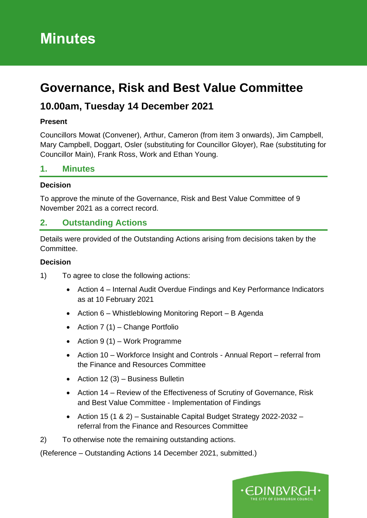# **Minutes**

# **Governance, Risk and Best Value Committee**

# **10.00am, Tuesday 14 December 2021**

#### **Present**

Councillors Mowat (Convener), Arthur, Cameron (from item 3 onwards), Jim Campbell, Mary Campbell, Doggart, Osler (substituting for Councillor Gloyer), Rae (substituting for Councillor Main), Frank Ross, Work and Ethan Young.

#### **1. Minutes**

#### **Decision**

To approve the minute of the Governance, Risk and Best Value Committee of 9 November 2021 as a correct record.

#### **2. Outstanding Actions**

Details were provided of the Outstanding Actions arising from decisions taken by the Committee.

#### **Decision**

- 1) To agree to close the following actions:
	- Action 4 Internal Audit Overdue Findings and Key Performance Indicators as at 10 February 2021
	- Action 6 Whistleblowing Monitoring Report B Agenda
	- Action 7 (1) Change Portfolio
	- Action 9 (1) Work Programme
	- Action 10 Workforce Insight and Controls Annual Report referral from the Finance and Resources Committee
	- Action 12  $(3)$  Business Bulletin
	- Action 14 Review of the Effectiveness of Scrutiny of Governance, Risk and Best Value Committee - Implementation of Findings
	- Action 15 (1 & 2) Sustainable Capital Budget Strategy 2022-2032 referral from the Finance and Resources Committee

2) To otherwise note the remaining outstanding actions.

(Reference – Outstanding Actions 14 December 2021, submitted.)

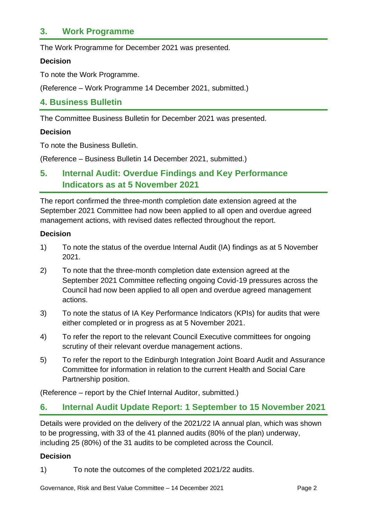### **3. Work Programme**

The Work Programme for December 2021 was presented.

#### **Decision**

To note the Work Programme.

(Reference – Work Programme 14 December 2021, submitted.)

#### **4. Business Bulletin**

The Committee Business Bulletin for December 2021 was presented.

#### **Decision**

To note the Business Bulletin.

(Reference – Business Bulletin 14 December 2021, submitted.)

## **5. Internal Audit: Overdue Findings and Key Performance Indicators as at 5 November 2021**

The report confirmed the three-month completion date extension agreed at the September 2021 Committee had now been applied to all open and overdue agreed management actions, with revised dates reflected throughout the report.

#### **Decision**

- 1) To note the status of the overdue Internal Audit (IA) findings as at 5 November 2021.
- 2) To note that the three-month completion date extension agreed at the September 2021 Committee reflecting ongoing Covid-19 pressures across the Council had now been applied to all open and overdue agreed management actions.
- 3) To note the status of IA Key Performance Indicators (KPIs) for audits that were either completed or in progress as at 5 November 2021.
- 4) To refer the report to the relevant Council Executive committees for ongoing scrutiny of their relevant overdue management actions.
- 5) To refer the report to the Edinburgh Integration Joint Board Audit and Assurance Committee for information in relation to the current Health and Social Care Partnership position.

(Reference – report by the Chief Internal Auditor, submitted.)

#### **6. Internal Audit Update Report: 1 September to 15 November 2021**

Details were provided on the delivery of the 2021/22 IA annual plan, which was shown to be progressing, with 33 of the 41 planned audits (80% of the plan) underway, including 25 (80%) of the 31 audits to be completed across the Council.

#### **Decision**

1) To note the outcomes of the completed 2021/22 audits.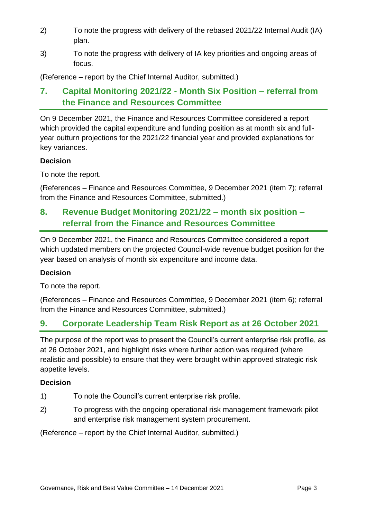- 2) To note the progress with delivery of the rebased 2021/22 Internal Audit (IA) plan.
- 3) To note the progress with delivery of IA key priorities and ongoing areas of focus.

(Reference – report by the Chief Internal Auditor, submitted.)

## **7. Capital Monitoring 2021/22 - Month Six Position – referral from the Finance and Resources Committee**

On 9 December 2021, the Finance and Resources Committee considered a report which provided the capital expenditure and funding position as at month six and fullyear outturn projections for the 2021/22 financial year and provided explanations for key variances.

#### **Decision**

To note the report.

(References – Finance and Resources Committee, 9 December 2021 (item 7); referral from the Finance and Resources Committee, submitted.)

## **8. Revenue Budget Monitoring 2021/22 – month six position – referral from the Finance and Resources Committee**

On 9 December 2021, the Finance and Resources Committee considered a report which updated members on the projected Council-wide revenue budget position for the year based on analysis of month six expenditure and income data.

#### **Decision**

To note the report.

(References – Finance and Resources Committee, 9 December 2021 (item 6); referral from the Finance and Resources Committee, submitted.)

## **9. Corporate Leadership Team Risk Report as at 26 October 2021**

The purpose of the report was to present the Council's current enterprise risk profile, as at 26 October 2021, and highlight risks where further action was required (where realistic and possible) to ensure that they were brought within approved strategic risk appetite levels.

#### **Decision**

- 1) To note the Council's current enterprise risk profile.
- 2) To progress with the ongoing operational risk management framework pilot and enterprise risk management system procurement.

(Reference – report by the Chief Internal Auditor, submitted.)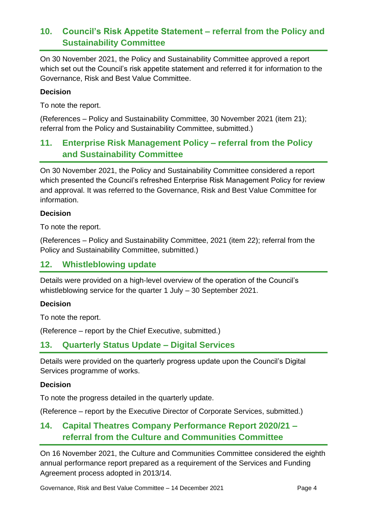## **10. Council's Risk Appetite Statement – referral from the Policy and Sustainability Committee**

On 30 November 2021, the Policy and Sustainability Committee approved a report which set out the Council's risk appetite statement and referred it for information to the Governance, Risk and Best Value Committee.

#### **Decision**

To note the report.

(References – Policy and Sustainability Committee, 30 November 2021 (item 21); referral from the Policy and Sustainability Committee, submitted.)

## **11. Enterprise Risk Management Policy – referral from the Policy and Sustainability Committee**

On 30 November 2021, the Policy and Sustainability Committee considered a report which presented the Council's refreshed Enterprise Risk Management Policy for review and approval. It was referred to the Governance, Risk and Best Value Committee for information.

#### **Decision**

To note the report.

(References – Policy and Sustainability Committee, 2021 (item 22); referral from the Policy and Sustainability Committee, submitted.)

### **12. Whistleblowing update**

Details were provided on a high-level overview of the operation of the Council's whistleblowing service for the quarter 1 July – 30 September 2021.

#### **Decision**

To note the report.

(Reference – report by the Chief Executive, submitted.)

#### **13. Quarterly Status Update – Digital Services**

Details were provided on the quarterly progress update upon the Council's Digital Services programme of works.

#### **Decision**

To note the progress detailed in the quarterly update.

(Reference – report by the Executive Director of Corporate Services, submitted.)

## **14. Capital Theatres Company Performance Report 2020/21 – referral from the Culture and Communities Committee**

On 16 November 2021, the Culture and Communities Committee considered the eighth annual performance report prepared as a requirement of the Services and Funding Agreement process adopted in 2013/14.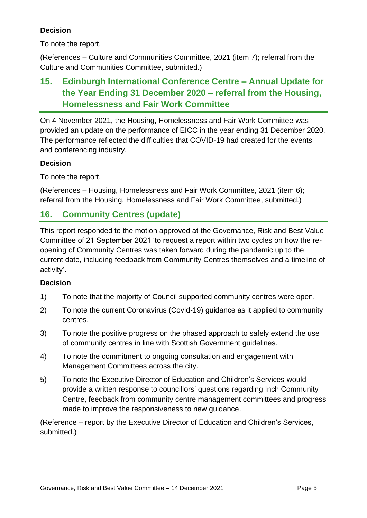#### **Decision**

To note the report.

(References – Culture and Communities Committee, 2021 (item 7); referral from the Culture and Communities Committee, submitted.)

## **15. Edinburgh International Conference Centre – Annual Update for the Year Ending 31 December 2020 – referral from the Housing, Homelessness and Fair Work Committee**

On 4 November 2021, the Housing, Homelessness and Fair Work Committee was provided an update on the performance of EICC in the year ending 31 December 2020. The performance reflected the difficulties that COVID-19 had created for the events and conferencing industry.

#### **Decision**

To note the report.

(References – Housing, Homelessness and Fair Work Committee, 2021 (item 6); referral from the Housing, Homelessness and Fair Work Committee, submitted.)

## **16. Community Centres (update)**

This report responded to the motion approved at the Governance, Risk and Best Value Committee of 21 September 2021 'to request a report within two cycles on how the reopening of Community Centres was taken forward during the pandemic up to the current date, including feedback from Community Centres themselves and a timeline of activity'.

#### **Decision**

- 1) To note that the majority of Council supported community centres were open.
- 2) To note the current Coronavirus (Covid-19) guidance as it applied to community centres.
- 3) To note the positive progress on the phased approach to safely extend the use of community centres in line with Scottish Government guidelines.
- 4) To note the commitment to ongoing consultation and engagement with Management Committees across the city.
- 5) To note the Executive Director of Education and Children's Services would provide a written response to councillors' questions regarding Inch Community Centre, feedback from community centre management committees and progress made to improve the responsiveness to new guidance.

(Reference – report by the Executive Director of Education and Children's Services, submitted.)